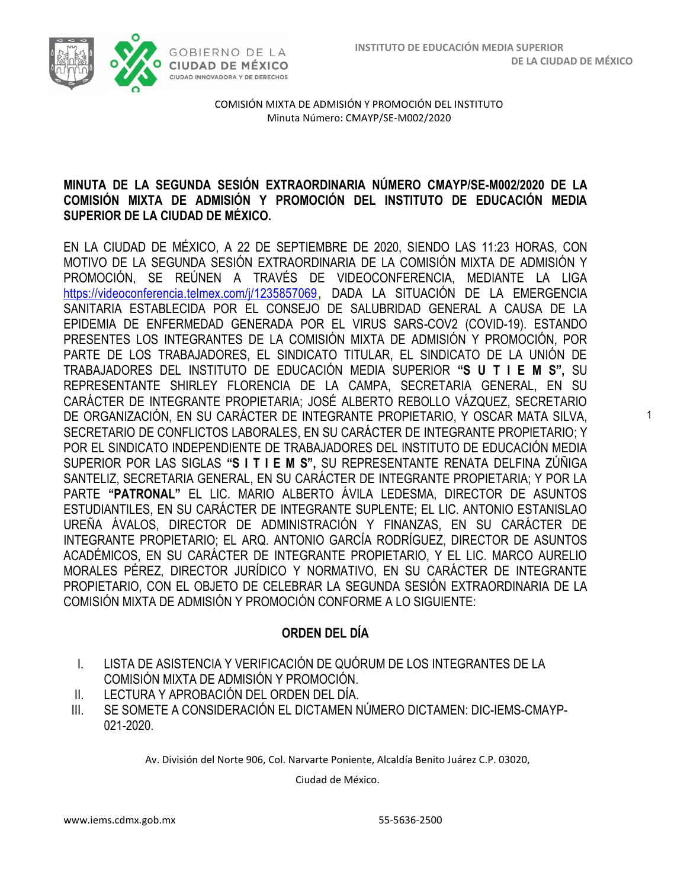1



COMISIÓN MIXTA DE ADMISIÓN Y PROMOCIÓN DEL INSTITUTO Minuta Número: CMAYP/SE-M002/2020

#### **MINUTA DE LA SEGUNDA SESIÓN EXTRAORDINARIA NÚMERO CMAYP/SE-M002/2020 DE LA COMISIÓN MIXTA DE ADMISIÓN Y PROMOCIÓN DEL INSTITUTO DE EDUCACIÓN MEDIA SUPERIOR DE LA CIUDAD DE MÉXICO.**

EN LA CIUDAD DE MÉXICO, A 22 DE SEPTIEMBRE DE 2020, SIENDO LAS 11:23 HORAS, CON MOTIVO DE LA SEGUNDA SESIÓN EXTRAORDINARIA DE LA COMISIÓN MIXTA DE ADMISIÓN Y PROMOCIÓN, SE REÚNEN A TRAVÉS DE VIDEOCONFERENCIA, MEDIANTE LA LIGA <https://videoconferencia.telmex.com/j/1235857069>, DADA LA SITUACIÓN DE LA EMERGENCIA SANITARIA ESTABLECIDA POR EL CONSEJO DE SALUBRIDAD GENERAL A CAUSA DE LA EPIDEMIA DE ENFERMEDAD GENERADA POR EL VIRUS SARS-COV2 (COVID-19). ESTANDO PRESENTES LOS INTEGRANTES DE LA COMISIÓN MIXTA DE ADMISIÓN Y PROMOCIÓN, POR PARTE DE LOS TRABAJADORES, EL SINDICATO TITULAR, EL SINDICATO DE LA UNIÓN DE TRABAJADORES DEL INSTITUTO DE EDUCACIÓN MEDIA SUPERIOR **"S U T I E M S",** SU REPRESENTANTE SHIRLEY FLORENCIA DE LA CAMPA, SECRETARIA GENERAL, EN SU CARÁCTER DE INTEGRANTE PROPIETARIA; JOSÉ ALBERTO REBOLLO VÁZQUEZ, SECRETARIO DE ORGANIZACIÓN, EN SU CARÁCTER DE INTEGRANTE PROPIETARIO, Y OSCAR MATA SILVA, SECRETARIO DE CONFLICTOS LABORALES, EN SU CARÁCTER DE INTEGRANTE PROPIETARIO; Y POR EL SINDICATO INDEPENDIENTE DE TRABAJADORES DEL INSTITUTO DE EDUCACIÓN MEDIA SUPERIOR POR LAS SIGLAS **"S I T I E M S",** SU REPRESENTANTE RENATA DELFINA ZÚÑIGA SANTELIZ, SECRETARIA GENERAL, EN SU CARÁCTER DE INTEGRANTE PROPIETARIA; Y POR LA PARTE **"PATRONAL"** EL LIC. MARIO ALBERTO ÁVILA LEDESMA, DIRECTOR DE ASUNTOS ESTUDIANTILES, EN SU CARÁCTER DE INTEGRANTE SUPLENTE; EL LIC. ANTONIO ESTANISLAO UREÑA ÁVALOS, DIRECTOR DE ADMINISTRACIÓN Y FINANZAS, EN SU CARÁCTER DE INTEGRANTE PROPIETARIO; EL ARQ. ANTONIO GARCÍA RODRÍGUEZ, DIRECTOR DE ASUNTOS ACADÉMICOS, EN SU CARÁCTER DE INTEGRANTE PROPIETARIO, Y EL LIC. MARCO AURELIO MORALES PÉREZ, DIRECTOR JURÍDICO Y NORMATIVO, EN SU CARÁCTER DE INTEGRANTE PROPIETARIO, CON EL OBJETO DE CELEBRAR LA SEGUNDA SESIÓN EXTRAORDINARIA DE LA COMISIÓN MIXTA DE ADMISIÓN Y PROMOCIÓN CONFORME A LO SIGUIENTE:

#### **ORDEN DEL DÍA**

- I. LISTA DE ASISTENCIA Y VERIFICACIÓN DE QUÓRUM DE LOS INTEGRANTES DE LA COMISIÓN MIXTA DE ADMISIÓN Y PROMOCIÓN.
- II. LECTURA Y APROBACIÓN DEL ORDEN DEL DÍA.
- III. SE SOMETE A CONSIDERACIÓN EL DICTAMEN NÚMERO DICTAMEN: DIC-IEMS-CMAYP-021-2020.

Av. División del Norte 906, Col. Narvarte Poniente, Alcaldía Benito Juárez C.P. 03020,

Ciudad de México.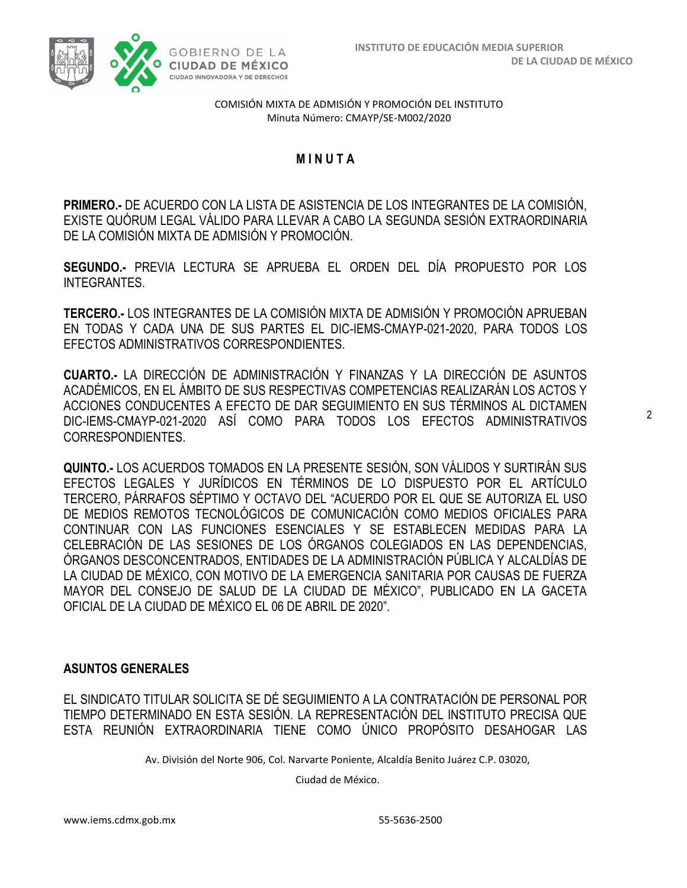

#### **M I N U T A**

**PRIMERO.-** DE ACUERDO CON LA LISTA DE ASISTENCIA DE LOS INTEGRANTES DE LA COMISIÓN, EXISTE QUÓRUM LEGAL VÁLIDO PARA LLEVAR A CABO LA SEGUNDA SESIÓN EXTRAORDINARIA DE LA COMISIÓN MIXTA DE ADMISIÓN Y PROMOCIÓN.

**SEGUNDO.-** PREVIA LECTURA SE APRUEBA EL ORDEN DEL DÍA PROPUESTO POR LOS INTEGRANTES.

**TERCERO.-** LOS INTEGRANTES DE LA COMISIÓN MIXTA DE ADMISIÓN Y PROMOCIÓN APRUEBAN EN TODAS Y CADA UNA DE SUS PARTES EL DIC-IEMS-CMAYP-021-2020, PARA TODOS LOS EFECTOS ADMINISTRATIVOS CORRESPONDIENTES.

**CUARTO.-** LA DIRECCIÓN DE ADMINISTRACIÓN Y FINANZAS Y LA DIRECCIÓN DE ASUNTOS ACADÉMICOS, EN EL ÁMBITO DE SUS RESPECTIVAS COMPETENCIAS REALIZARÁN LOS ACTOS Y ACCIONES CONDUCENTES A EFECTO DE DAR SEGUIMIENTO EN SUS TÉRMINOS AL DICTAMEN DIC-IEMS-CMAYP-021-2020 ASÍ COMO PARA TODOS LOS EFECTOS ADMINISTRATIVOS CORRESPONDIENTES.

**QUINTO.-** LOS ACUERDOS TOMADOS EN LA PRESENTE SESIÓN, SON VÁLIDOS Y SURTIRÁN SUS EFECTOS LEGALES Y JURÍDICOS EN TÉRMINOS DE LO DISPUESTO POR EL ARTÍCULO TERCERO, PÁRRAFOS SÉPTIMO Y OCTAVO DEL "ACUERDO POR EL QUE SE AUTORIZA EL USO DE MEDIOS REMOTOS TECNOLÓGICOS DE COMUNICACIÓN COMO MEDIOS OFICIALES PARA CONTINUAR CON LAS FUNCIONES ESENCIALES Y SE ESTABLECEN MEDIDAS PARA LA CELEBRACIÓN DE LAS SESIONES DE LOS ÓRGANOS COLEGIADOS EN LAS DEPENDENCIAS, ÓRGANOS DESCONCENTRADOS, ENTIDADES DE LA ADMINISTRACIÓN PÚBLICA Y ALCALDÍAS DE LA CIUDAD DE MÉXICO, CON MOTIVO DE LA EMERGENCIA SANITARIA POR CAUSAS DE FUERZA MAYOR DEL CONSEJO DE SALUD DE LA CIUDAD DE MÉXICO", PUBLICADO EN LA GACETA OFICIAL DE LA CIUDAD DE MÉXICO EL 06 DE ABRIL DE 2020".

#### **ASUNTOS GENERALES**

EL SINDICATO TITULAR SOLICITA SE DÉ SEGUIMIENTO A LA CONTRATACIÓN DE PERSONAL POR TIEMPO DETERMINADO EN ESTA SESIÓN. LA REPRESENTACIÓN DEL INSTITUTO PRECISA QUE ESTA REUNIÓN EXTRAORDINARIA TIENE COMO ÚNICO PROPÓSITO DESAHOGAR LAS

Av. División del Norte 906, Col. Narvarte Poniente, Alcaldía Benito Juárez C.P. 03020,

Ciudad de México.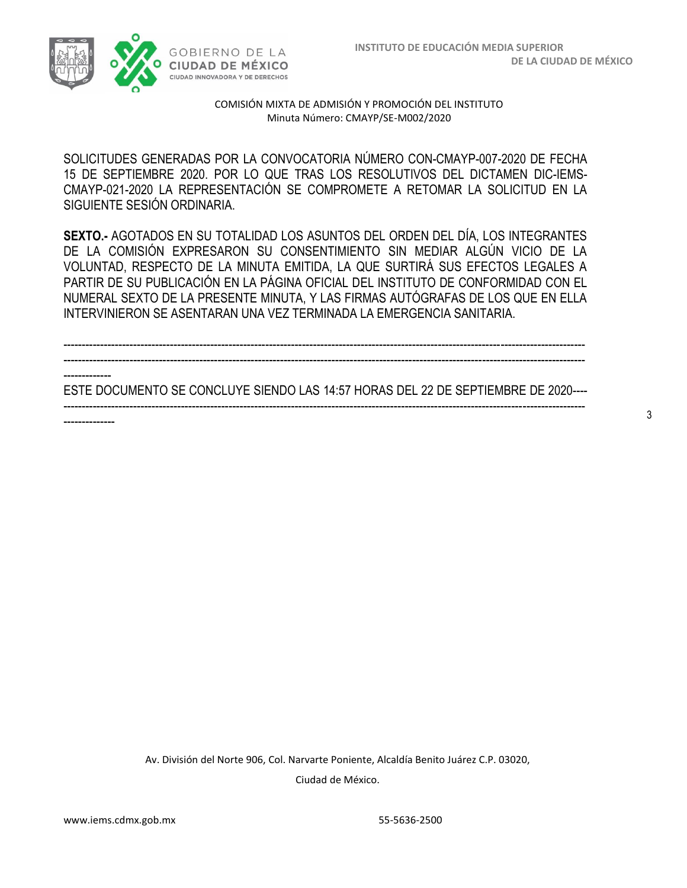

SOLICITUDES GENERADAS POR LA CONVOCATORIA NÚMERO CON-CMAYP-007-2020 DE FECHA 15 DE SEPTIEMBRE 2020. POR LO QUE TRAS LOS RESOLUTIVOS DEL DICTAMEN DIC-IEMS-CMAYP-021-2020 LA REPRESENTACIÓN SE COMPROMETE A RETOMAR LA SOLICITUD EN LA SIGUIENTE SESIÓN ORDINARIA.

**SEXTO.-** AGOTADOS EN SU TOTALIDAD LOS ASUNTOS DEL ORDEN DEL DÍA, LOS INTEGRANTES DE LA COMISIÓN EXPRESARON SU CONSENTIMIENTO SIN MEDIAR ALGÚN VICIO DE LA VOLUNTAD, RESPECTO DE LA MINUTA EMITIDA, LA QUE SURTIRÁ SUS EFECTOS LEGALES A PARTIR DE SU PUBLICACIÓN EN LA PÁGINA OFICIAL DEL INSTITUTO DE CONFORMIDAD CON EL NUMERAL SEXTO DE LA PRESENTE MINUTA, Y LAS FIRMAS AUTÓGRAFAS DE LOS QUE EN ELLA INTERVINIERON SE ASENTARAN UNA VEZ TERMINADA LA EMERGENCIA SANITARIA.

-------------

ESTE DOCUMENTO SE CONCLUYE SIENDO LAS 14:57 HORAS DEL 22 DE SEPTIEMBRE DE 2020---- ----------------------------------------------------------------------------------------------------------------------------------------------

---------------------------------------------------------------------------------------------------------------------------------------------- ----------------------------------------------------------------------------------------------------------------------------------------------

--------------

Av. División del Norte 906, Col. Narvarte Poniente, Alcaldía Benito Juárez C.P. 03020, Ciudad de México.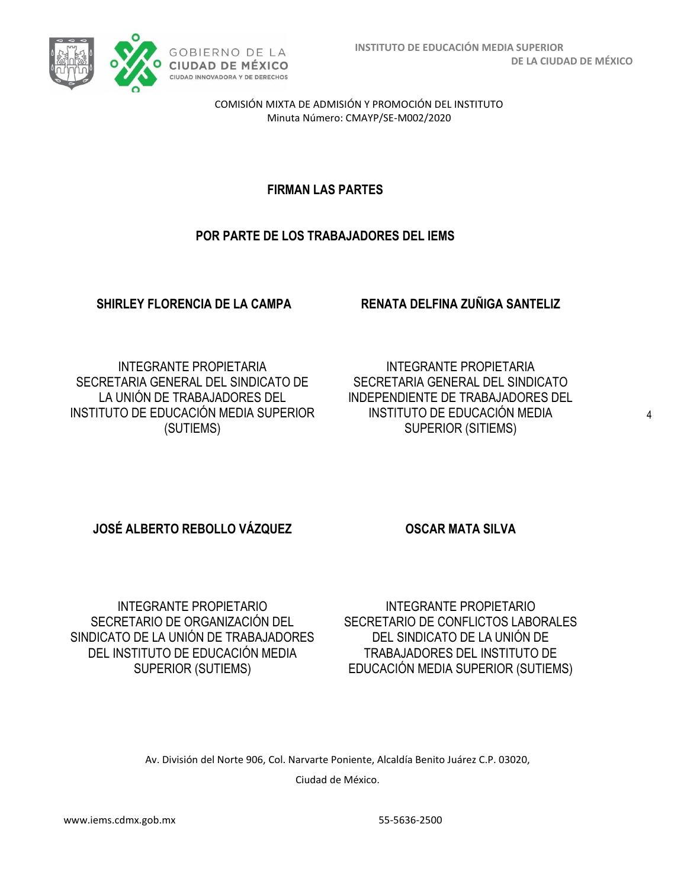

## **FIRMAN LAS PARTES**

## **POR PARTE DE LOS TRABAJADORES DEL IEMS**

### **SHIRLEY FLORENCIA DE LA CAMPA RENATA DELFINA ZUÑIGA SANTELIZ**

INTEGRANTE PROPIETARIA SECRETARIA GENERAL DEL SINDICATO DE LA UNIÓN DE TRABAJADORES DEL INSTITUTO DE EDUCACIÓN MEDIA SUPERIOR (SUTIEMS)

INTEGRANTE PROPIETARIA SECRETARIA GENERAL DEL SINDICATO INDEPENDIENTE DE TRABAJADORES DEL INSTITUTO DE EDUCACIÓN MEDIA SUPERIOR (SITIEMS)

# **JOSÉ ALBERTO REBOLLO VÁZQUEZ OSCAR MATA SILVA**

INTEGRANTE PROPIETARIO SECRETARIO DE ORGANIZACIÓN DEL SINDICATO DE LA UNIÓN DE TRABAJADORES DEL INSTITUTO DE EDUCACIÓN MEDIA SUPERIOR (SUTIEMS)

INTEGRANTE PROPIETARIO SECRETARIO DE CONFLICTOS LABORALES DEL SINDICATO DE LA UNIÓN DE TRABAJADORES DEL INSTITUTO DE EDUCACIÓN MEDIA SUPERIOR (SUTIEMS)

Av. División del Norte 906, Col. Narvarte Poniente, Alcaldía Benito Juárez C.P. 03020,

Ciudad de México.